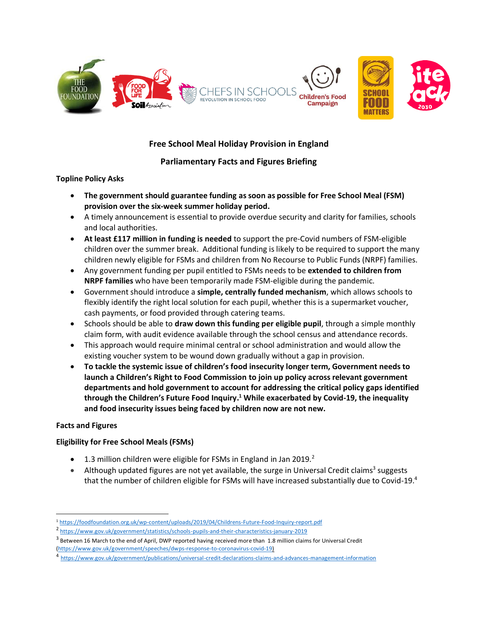

# **Free School Meal Holiday Provision in England**

# **Parliamentary Facts and Figures Briefing**

### **Topline Policy Asks**

- **The government should guarantee funding as soon as possible for Free School Meal (FSM) provision over the six-week summer holiday period.**
- A timely announcement is essential to provide overdue security and clarity for families, schools and local authorities.
- **At least £117 million in funding is needed** to support the pre-Covid numbers of FSM-eligible children over the summer break. Additional funding is likely to be required to support the many children newly eligible for FSMs and children from No Recourse to Public Funds (NRPF) families.
- Any government funding per pupil entitled to FSMs needs to be **extended to children from NRPF families** who have been temporarily made FSM-eligible during the pandemic.
- Government should introduce a **simple, centrally funded mechanism**, which allows schools to flexibly identify the right local solution for each pupil, whether this is a supermarket voucher, cash payments, or food provided through catering teams.
- Schools should be able to **draw down this funding per eligible pupil**, through a simple monthly claim form, with audit evidence available through the school census and attendance records.
- This approach would require minimal central or school administration and would allow the existing voucher system to be wound down gradually without a gap in provision.
- **To tackle the systemic issue of children's food insecurity longer term, Government needs to launch a Children's Right to Food Commission to join up policy across relevant government departments and hold government to account for addressing the critical policy gaps identified through the Children's Future Food Inquiry. <sup>1</sup> While exacerbated by Covid-19, the inequality and food insecurity issues being faced by children now are not new.**

## **Facts and Figures**

## **Eligibility for Free School Meals (FSMs)**

- $\bullet$  1.3 million children were eligible for FSMs in England in Jan 2019.<sup>2</sup>
- Although updated figures are not yet available, the surge in Universal Credit claims<sup>3</sup> suggests that the number of children eligible for FSMs will have increased substantially due to Covid-19. **4**

<sup>1</sup> <https://foodfoundation.org.uk/wp-content/uploads/2019/04/Childrens-Future-Food-Inquiry-report.pdf>

<sup>2</sup> <https://www.gov.uk/government/statistics/schools-pupils-and-their-characteristics-january-2019>

<sup>&</sup>lt;sup>3</sup> Between 16 March to the end of April, DWP reported having received more than 1.8 million claims for Universal Credit [\(https://www.gov.uk/government/speeches/dwps-response-to-coronavirus-covid-19\)](https://www.gov.uk/government/speeches/dwps-response-to-coronavirus-covid-19)

<sup>4</sup> <https://www.gov.uk/government/publications/universal-credit-declarations-claims-and-advances-management-information>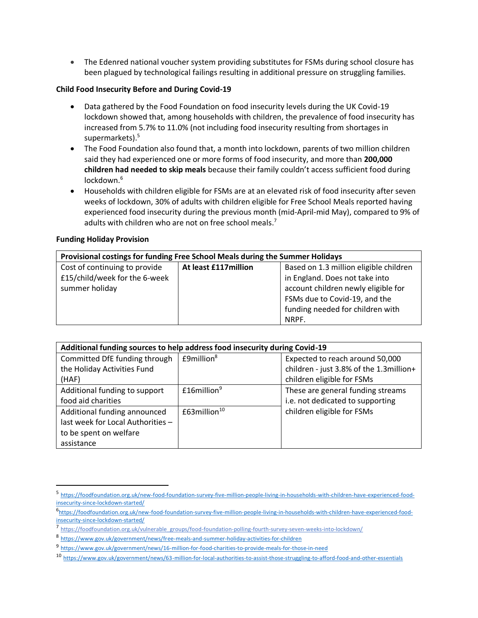• The Edenred national voucher system providing substitutes for FSMs during school closure has been plagued by technological failings resulting in additional pressure on struggling families.

#### **Child Food Insecurity Before and During Covid-19**

- Data gathered by the Food Foundation on food insecurity levels during the UK Covid-19 lockdown showed that, among households with children, the prevalence of food insecurity has increased from 5.7% to 11.0% (not including food insecurity resulting from shortages in supermarkets).<sup>5</sup>
- The Food Foundation also found that, a month into lockdown, parents of two million children said they had experienced one or more forms of food insecurity, and more than **200,000 children had needed to skip meals** because their family couldn't access sufficient food during lockdown. 6
- Households with children eligible for FSMs are at an elevated risk of food insecurity after seven weeks of lockdown, 30% of adults with children eligible for Free School Meals reported having experienced food insecurity during the previous month (mid-April-mid May), compared to 9% of adults with children who are not on free school meals.<sup>7</sup>

#### **Funding Holiday Provision**

| Provisional costings for funding Free School Meals during the Summer Holidays |                       |                                        |  |
|-------------------------------------------------------------------------------|-----------------------|----------------------------------------|--|
| Cost of continuing to provide                                                 | At least £117 million | Based on 1.3 million eligible children |  |
| £15/child/week for the 6-week                                                 |                       | in England. Does not take into         |  |
| summer holiday                                                                |                       | account children newly eligible for    |  |
|                                                                               |                       | FSMs due to Covid-19, and the          |  |
|                                                                               |                       | funding needed for children with       |  |
|                                                                               |                       | NRPF.                                  |  |

| Additional funding sources to help address food insecurity during Covid-19 |                              |                                         |  |
|----------------------------------------------------------------------------|------------------------------|-----------------------------------------|--|
| Committed DfE funding through                                              | $E9$ million $8$             | Expected to reach around 50,000         |  |
| the Holiday Activities Fund                                                |                              | children - just 3.8% of the 1.3million+ |  |
| (HAF)                                                                      |                              | children eligible for FSMs              |  |
| Additional funding to support                                              | $£16$ million <sup>9</sup>   | These are general funding streams       |  |
| food aid charities                                                         |                              | i.e. not dedicated to supporting        |  |
| Additional funding announced                                               | £63 $m$ illion <sup>10</sup> | children eligible for FSMs              |  |
| last week for Local Authorities -                                          |                              |                                         |  |
| to be spent on welfare                                                     |                              |                                         |  |
| assistance                                                                 |                              |                                         |  |

<sup>5</sup> [https://foodfoundation.org.uk/new-food-foundation-survey-five-million-people-living-in-households-with-children-have-experienced-food](https://foodfoundation.org.uk/new-food-foundation-survey-five-million-people-living-in-households-with-children-have-experienced-food-insecurity-since-lockdown-started/)[insecurity-since-lockdown-started/](https://foodfoundation.org.uk/new-food-foundation-survey-five-million-people-living-in-households-with-children-have-experienced-food-insecurity-since-lockdown-started/)

<sup>6</sup>[https://foodfoundation.org.uk/new-food-foundation-survey-five-million-people-living-in-households-with-children-have-experienced-food](https://foodfoundation.org.uk/new-food-foundation-survey-five-million-people-living-in-households-with-children-have-experienced-food-insecurity-since-lockdown-started/)[insecurity-since-lockdown-started/](https://foodfoundation.org.uk/new-food-foundation-survey-five-million-people-living-in-households-with-children-have-experienced-food-insecurity-since-lockdown-started/)

<sup>7</sup> [https://foodfoundation.org.uk/vulnerable\\_groups/food-foundation-polling-fourth-survey-seven-weeks-into-lockdown/](https://foodfoundation.org.uk/vulnerable_groups/food-foundation-polling-fourth-survey-seven-weeks-into-lockdown/)

<sup>8</sup> <https://www.gov.uk/government/news/free-meals-and-summer-holiday-activities-for-children>

<sup>9</sup> <https://www.gov.uk/government/news/16-million-for-food-charities-to-provide-meals-for-those-in-need>

<sup>10</sup> <https://www.gov.uk/government/news/63-million-for-local-authorities-to-assist-those-struggling-to-afford-food-and-other-essentials>